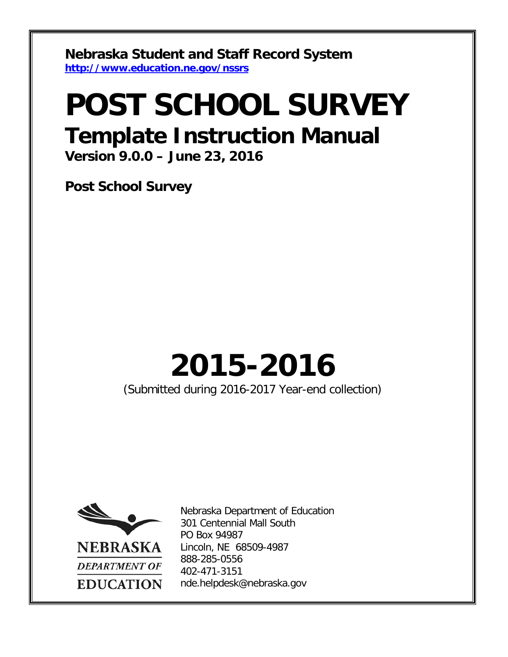**Nebraska Student and Staff Record System <http://www.education.ne.gov/nssrs>**

## **POST SCHOOL SURVEY Template Instruction Manual**

**Version 9.0.0 – June 23, 2016**

**Post School Survey**

# **2015-2016**

(Submitted during 2016-2017 Year-end collection)



Nebraska Department of Education 301 Centennial Mall South PO Box 94987 Lincoln, NE 68509-4987 888-285-0556 402-471-3151 nde.helpdesk@nebraska.gov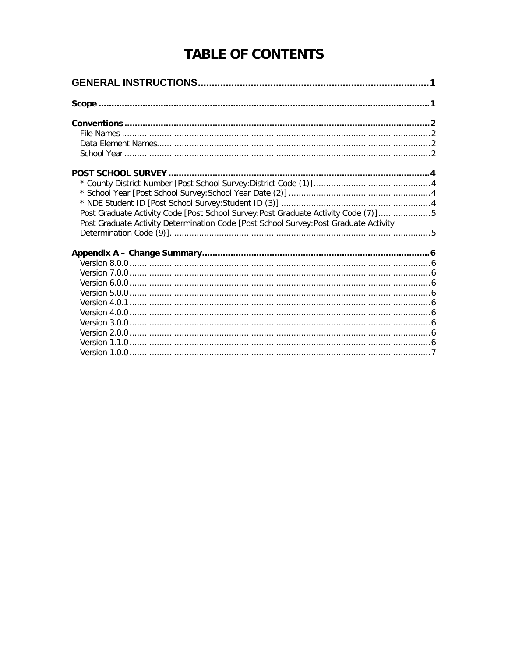## **TABLE OF CONTENTS**

| Post Graduate Activity Code [Post School Survey: Post Graduate Activity Code (7)]5    |  |
|---------------------------------------------------------------------------------------|--|
| Post Graduate Activity Determination Code [Post School Survey: Post Graduate Activity |  |
|                                                                                       |  |
|                                                                                       |  |
|                                                                                       |  |
|                                                                                       |  |
|                                                                                       |  |
|                                                                                       |  |
|                                                                                       |  |
|                                                                                       |  |
|                                                                                       |  |
|                                                                                       |  |
|                                                                                       |  |
|                                                                                       |  |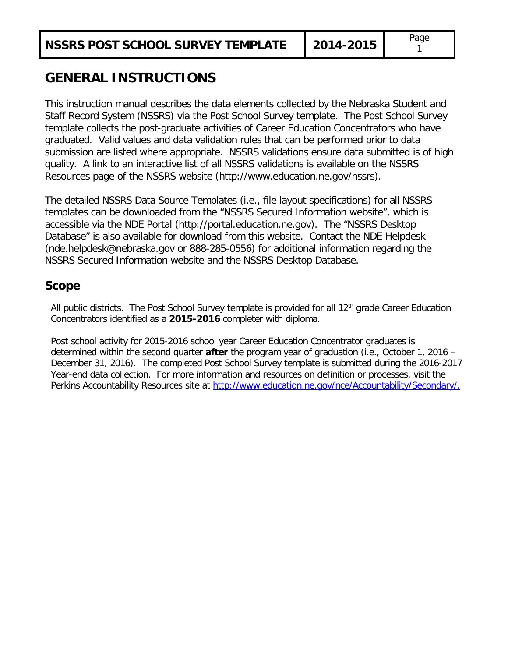## <span id="page-2-0"></span>**GENERAL INSTRUCTIONS**

This instruction manual describes the data elements collected by the Nebraska Student and Staff Record System (NSSRS) via the Post School Survey template. The Post School Survey template collects the post-graduate activities of Career Education Concentrators who have graduated. Valid values and data validation rules that can be performed prior to data submission are listed where appropriate. NSSRS validations ensure data submitted is of high quality. A link to an interactive list of all NSSRS validations is available on the NSSRS Resources page of the NSSRS website (http://www.education.ne.gov/nssrs).

The detailed NSSRS Data Source Templates (i.e., file layout specifications) for all NSSRS templates can be downloaded from the "NSSRS Secured Information website", which is accessible via the NDE Portal (http://portal.education.ne.gov). The "NSSRS Desktop Database" is also available for download from this website. Contact the NDE Helpdesk (nde.helpdesk@nebraska.gov or 888-285-0556) for additional information regarding the NSSRS Secured Information website and the NSSRS Desktop Database.

#### <span id="page-2-1"></span>**Scope**

All public districts. The Post School Survey template is provided for all  $12<sup>th</sup>$  grade Career Education Concentrators identified as a **2015-2016** completer with diploma.

Post school activity for 2015-2016 school year Career Education Concentrator graduates is determined within the second quarter **after** the program year of graduation (i.e., October 1, 2016 – December 31, 2016). The completed Post School Survey template is submitted during the 2016-2017 Year-end data collection. For more information and resources on definition or processes, visit the Perkins Accountability Resources site at [http://www.education.ne.gov/nce/Accountability/Secondary/.](http://www.education.ne.gov/nce/Accountability/Secondary/)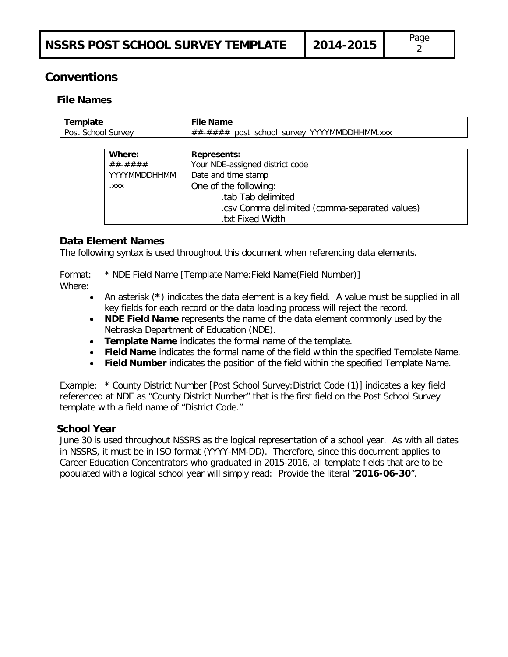### <span id="page-3-1"></span><span id="page-3-0"></span>**Conventions**

#### **File Names**

| remplate                                | <b>Name</b><br>пе                                  |
|-----------------------------------------|----------------------------------------------------|
| Post<br>$\cdot$ school $\sim$<br>survev | YYYYMMDDHHMM.xxx<br>school<br>survey<br>post<br>## |

| Where:       | <b>Represents:</b>                            |
|--------------|-----------------------------------------------|
| ##-####      | Your NDE-assigned district code               |
| YYYYMMDDHHMM | Date and time stamp                           |
| .XXX         | One of the following:                         |
|              | .tab Tab delimited                            |
|              | .csv Comma delimited (comma-separated values) |
|              | txt Fixed Width.                              |

#### <span id="page-3-2"></span>**Data Element Names**

The following syntax is used throughout this document when referencing data elements.

Format: \* NDE Field Name [Template Name:Field Name(Field Number)] Where:

- An asterisk (**\***) indicates the data element is a key field. A value must be supplied in all key fields for each record or the data loading process will reject the record.
- **NDE Field Name** represents the name of the data element commonly used by the Nebraska Department of Education (NDE).
- **Template Name** indicates the formal name of the template.
- **Field Name** indicates the formal name of the field within the specified Template Name.
- **Field Number** indicates the position of the field within the specified Template Name.

Example: \* County District Number [Post School Survey:District Code (1)] indicates a key field referenced at NDE as "County District Number" that is the first field on the Post School Survey template with a field name of "District Code."

#### <span id="page-3-3"></span>**School Year**

June 30 is used throughout NSSRS as the logical representation of a school year. As with all dates in NSSRS, it must be in ISO format (YYYY-MM-DD). Therefore, since this document applies to Career Education Concentrators who graduated in 2015-2016, all template fields that are to be populated with a logical school year will simply read: Provide the literal "**2016-06-30**".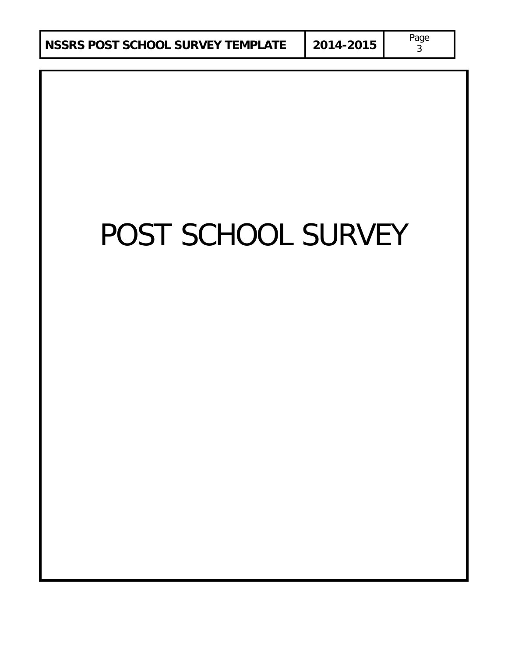3

# POST SCHOOL SURVEY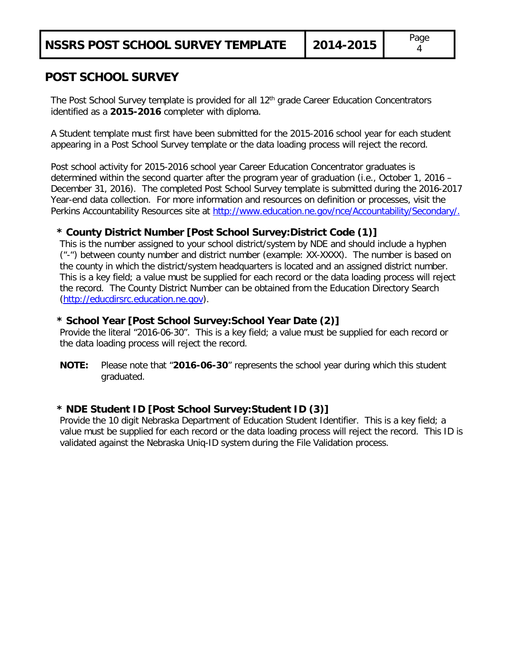#### <span id="page-5-0"></span>**POST SCHOOL SURVEY**

The Post School Survey template is provided for all 12<sup>th</sup> grade Career Education Concentrators identified as a **2015-2016** completer with diploma.

A Student template must first have been submitted for the 2015-2016 school year for each student appearing in a Post School Survey template or the data loading process will reject the record.

Post school activity for 2015-2016 school year Career Education Concentrator graduates is determined within the second quarter after the program year of graduation (i.e., October 1, 2016 – December 31, 2016). The completed Post School Survey template is submitted during the 2016-2017 Year-end data collection. For more information and resources on definition or processes, visit the Perkins Accountability Resources site at [http://www.education.ne.gov/nce/Accountability/Secondary/.](http://www.education.ne.gov/nce/Accountability/Secondary/)

#### <span id="page-5-1"></span>**\* County District Number [Post School Survey:District Code (1)]**

This is the number assigned to your school district/system by NDE and should include a hyphen ("-") between county number and district number (example: XX-XXXX). The number is based on the county in which the district/system headquarters is located and an assigned district number. This is a key field; a value must be supplied for each record or the data loading process will reject the record. The County District Number can be obtained from the Education Directory Search [\(http://educdirsrc.education.ne.gov\)](http://educdirsrc.education.ne.gov/).

#### <span id="page-5-2"></span>**\* School Year [Post School Survey:School Year Date (2)]**

Provide the literal "2016-06-30". This is a key field; a value must be supplied for each record or the data loading process will reject the record.

**NOTE:** Please note that "**2016-06-30**" represents the school year during which this student graduated.

#### <span id="page-5-3"></span>**\* NDE Student ID [Post School Survey:Student ID (3)]**

Provide the 10 digit Nebraska Department of Education Student Identifier. This is a key field; a value must be supplied for each record or the data loading process will reject the record. This ID is validated against the Nebraska Uniq-ID system during the File Validation process.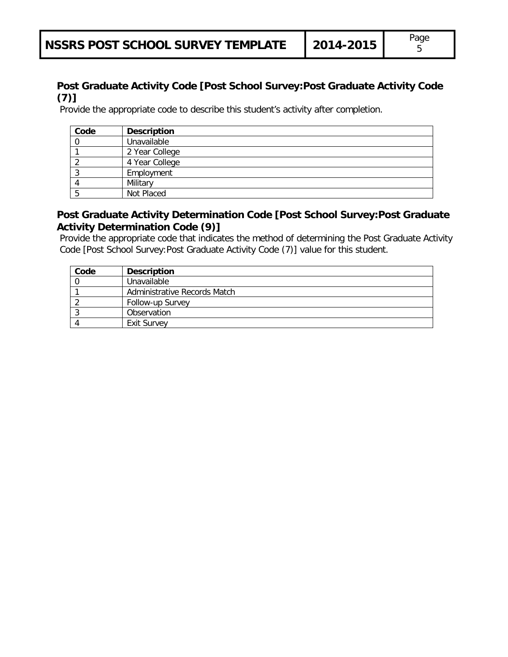#### <span id="page-6-0"></span>**Post Graduate Activity Code [Post School Survey:Post Graduate Activity Code (7)]**

Provide the appropriate code to describe this student's activity after completion.

| Code | <b>Description</b> |
|------|--------------------|
|      | Unavailable        |
|      | 2 Year College     |
|      | 4 Year College     |
| J    | Employment         |
|      | Military           |
|      | Not Placed         |

#### <span id="page-6-1"></span>**Post Graduate Activity Determination Code [Post School Survey:Post Graduate Activity Determination Code (9)]**

Provide the appropriate code that indicates the method of determining the Post Graduate Activity Code [Post School Survey:Post Graduate Activity Code (7)] value for this student.

| Code | <b>Description</b>           |
|------|------------------------------|
|      | Unavailable                  |
|      | Administrative Records Match |
|      | Follow-up Survey             |
|      | Observation                  |
|      | <b>Exit Survey</b>           |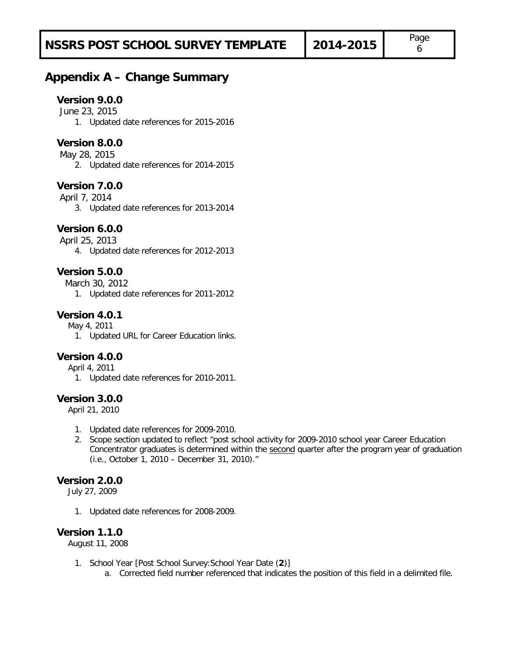## <span id="page-7-1"></span><span id="page-7-0"></span>**Appendix A – Change Summary**

#### **Version 9.0.0**

June 23, 2015

1. Updated date references for 2015-2016

#### **Version 8.0.0**

May 28, 2015

2. Updated date references for 2014-2015

#### <span id="page-7-2"></span>**Version 7.0.0**

April 7, 2014

3. Updated date references for 2013-2014

#### <span id="page-7-3"></span>**Version 6.0.0**

April 25, 2013

4. Updated date references for 2012-2013

#### <span id="page-7-4"></span>**Version 5.0.0**

March 30, 2012

1. Updated date references for 2011-2012

#### <span id="page-7-5"></span>**Version 4.0.1**

May 4, 2011

1. Updated URL for Career Education links.

#### <span id="page-7-6"></span>**Version 4.0.0**

April 4, 2011

1. Updated date references for 2010-2011.

#### <span id="page-7-7"></span>**Version 3.0.0**

April 21, 2010

- 1. Updated date references for 2009-2010.
- 2. Scope section updated to reflect "post school activity for 2009-2010 school year Career Education Concentrator graduates is determined within the second quarter after the program year of graduation (i.e., October 1, 2010 – December 31, 2010)."

#### <span id="page-7-8"></span>**Version 2.0.0**

July 27, 2009

1. Updated date references for 2008-2009.

#### <span id="page-7-9"></span>**Version 1.1.0**

August 11, 2008

- 1. School Year [Post School Survey:School Year Date (**2**)]
	- a. Corrected field number referenced that indicates the position of this field in a delimited file.